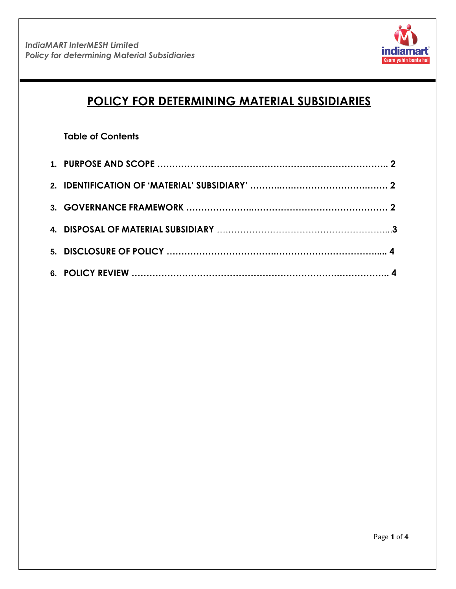

# **POLICY FOR DETERMINING MATERIAL SUBSIDIARIES**

## **Table of Contents**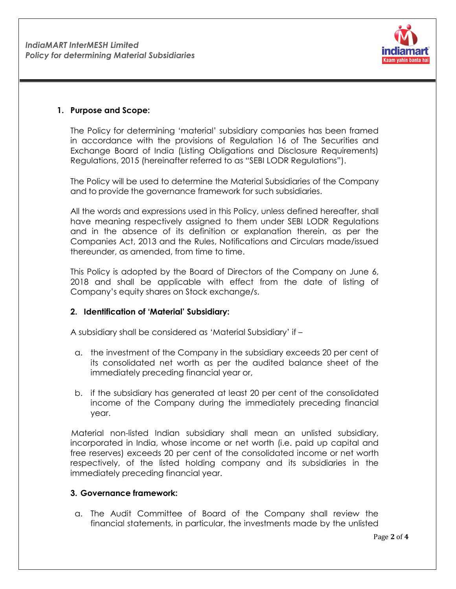

#### **1. Purpose and Scope:**

The Policy for determining "material" subsidiary companies has been framed in accordance with the provisions of Regulation 16 of The Securities and Exchange Board of India (Listing Obligations and Disclosure Requirements) Regulations, 2015 (hereinafter referred to as "SEBI LODR Regulations").

The Policy will be used to determine the Material Subsidiaries of the Company and to provide the governance framework for such subsidiaries.

All the words and expressions used in this Policy, unless defined hereafter, shall have meaning respectively assigned to them under SEBI LODR Regulations and in the absence of its definition or explanation therein, as per the Companies Act, 2013 and the Rules, Notifications and Circulars made/issued thereunder, as amended, from time to time.

This Policy is adopted by the Board of Directors of the Company on June 6, 2018 and shall be applicable with effect from the date of listing of Company"s equity shares on Stock exchange/s.

#### **2. Identification of 'Material' Subsidiary:**

A subsidiary shall be considered as "Material Subsidiary" if –

- a. the investment of the Company in the subsidiary exceeds 20 per cent of its consolidated net worth as per the audited balance sheet of the immediately preceding financial year or,
- b. if the subsidiary has generated at least 20 per cent of the consolidated income of the Company during the immediately preceding financial year.

Material non-listed Indian subsidiary shall mean an unlisted subsidiary, incorporated in India, whose income or net worth (i.e. paid up capital and free reserves) exceeds 20 per cent of the consolidated income or net worth respectively, of the listed holding company and its subsidiaries in the immediately preceding financial year.

#### **3. Governance framework:**

a. The Audit Committee of Board of the Company shall review the financial statements, in particular, the investments made by the unlisted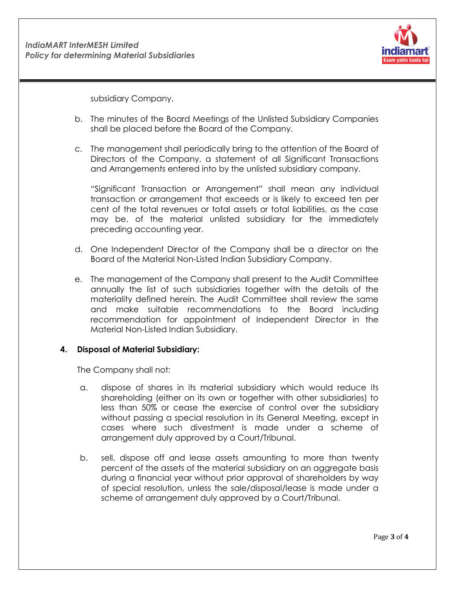

subsidiary Company.

- b. The minutes of the Board Meetings of the Unlisted Subsidiary Companies shall be placed before the Board of the Company.
- c. The management shall periodically bring to the attention of the Board of Directors of the Company, a statement of all Significant Transactions and Arrangements entered into by the unlisted subsidiary company.

"Significant Transaction or Arrangement" shall mean any individual transaction or arrangement that exceeds or is likely to exceed ten per cent of the total revenues or total assets or total liabilities, as the case may be, of the material unlisted subsidiary for the immediately preceding accounting year.

- d. One Independent Director of the Company shall be a director on the Board of the Material Non-Listed Indian Subsidiary Company.
- e. The management of the Company shall present to the Audit Committee annually the list of such subsidiaries together with the details of the materiality defined herein. The Audit Committee shall review the same and make suitable recommendations to the Board including recommendation for appointment of Independent Director in the Material Non-Listed Indian Subsidiary.

#### **4. Disposal of Material Subsidiary:**

The Company shall not:

- a. dispose of shares in its material subsidiary which would reduce its shareholding (either on its own or together with other subsidiaries) to less than 50% or cease the exercise of control over the subsidiary without passing a special resolution in its General Meeting, except in cases where such divestment is made under a scheme of arrangement duly approved by a Court/Tribunal.
- b. sell, dispose off and lease assets amounting to more than twenty percent of the assets of the material subsidiary on an aggregate basis during a financial year without prior approval of shareholders by way of special resolution, unless the sale/disposal/lease is made under a scheme of arrangement duly approved by a Court/Tribunal.